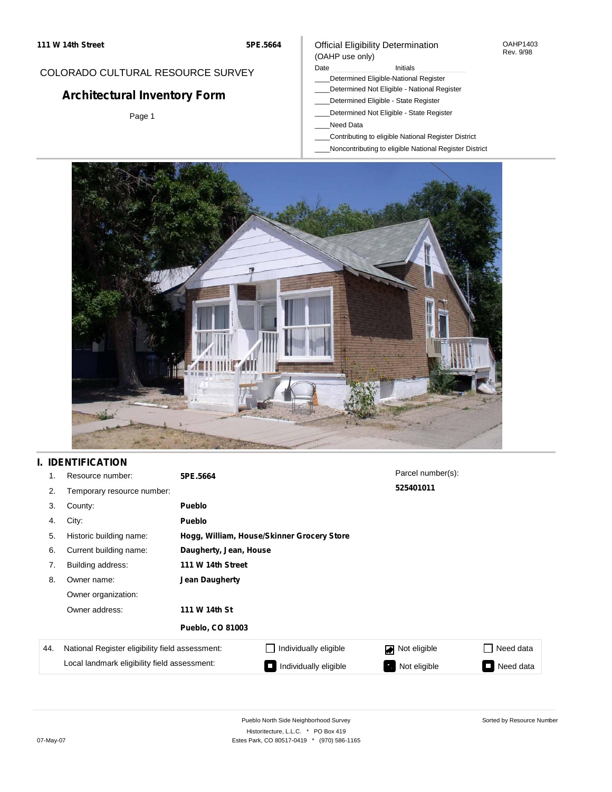### COLORADO CULTURAL RESOURCE SURVEY

# **Architectural Inventory Form**

Page 1

#### Official Eligibility Determination (OAHP use only)

#### Date **Initials** Initials

- \_\_\_\_Determined Eligible-National Register
- \_\_\_\_Determined Not Eligible National Register
- \_\_\_\_Determined Eligible State Register
- \_\_\_\_Determined Not Eligible State Register
- \_\_\_\_Need Data
- \_\_\_\_Contributing to eligible National Register District
- \_\_\_\_Noncontributing to eligible National Register District



### **I. IDENTIFICATION**

| 1.  | Resource number:                                | 5PE.5664                |                                            | Parcel number(s): |           |  |  |  |
|-----|-------------------------------------------------|-------------------------|--------------------------------------------|-------------------|-----------|--|--|--|
| 2.  | Temporary resource number:                      |                         |                                            | 525401011         |           |  |  |  |
| 3.  | County:                                         | <b>Pueblo</b>           |                                            |                   |           |  |  |  |
| 4.  | City:                                           | <b>Pueblo</b>           |                                            |                   |           |  |  |  |
| 5.  | Historic building name:                         |                         | Hogg, William, House/Skinner Grocery Store |                   |           |  |  |  |
| 6.  | Current building name:                          | Daugherty, Jean, House  |                                            |                   |           |  |  |  |
| 7.  | Building address:                               | 111 W 14th Street       |                                            |                   |           |  |  |  |
| 8.  | Owner name:                                     | Jean Daugherty          |                                            |                   |           |  |  |  |
|     | Owner organization:                             |                         |                                            |                   |           |  |  |  |
|     | Owner address:                                  | 111 W 14th St           |                                            |                   |           |  |  |  |
|     |                                                 | <b>Pueblo, CO 81003</b> |                                            |                   |           |  |  |  |
| 44. | National Register eligibility field assessment: |                         | Individually eligible                      | Not eligible<br>◪ | Need data |  |  |  |
|     | Local landmark eligibility field assessment:    |                         | Individually eligible                      | Not eligible      | Need data |  |  |  |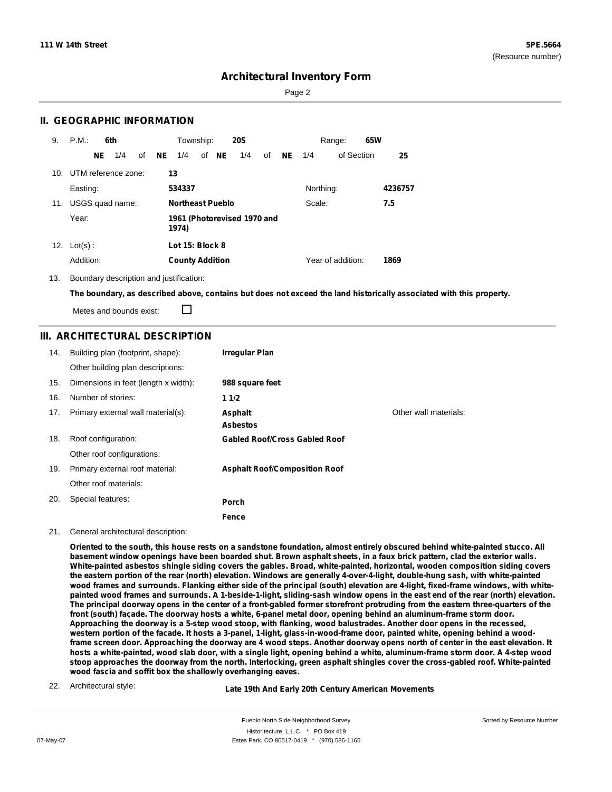Sorted by Resource Number

### **Architectural Inventory Form**

Page 2

### **II. GEOGRAPHIC INFORMATION**

| 9.  | P.M.                |    | 6th             |    |           | Township:                            |  |       | <b>20S</b> |     |           |           | Range:            | 65W |         |
|-----|---------------------|----|-----------------|----|-----------|--------------------------------------|--|-------|------------|-----|-----------|-----------|-------------------|-----|---------|
|     |                     | NE | 1/4             | of | <b>NE</b> | 1/4                                  |  | of NE | 1/4        | of  | <b>NE</b> | 1/4       | of Section        |     | 25      |
| 10. | UTM reference zone: |    |                 |    |           | 13                                   |  |       |            |     |           |           |                   |     |         |
|     | Easting:            |    |                 |    |           | 534337                               |  |       |            |     |           | Northing: |                   |     | 4236757 |
| 11. |                     |    | USGS quad name: |    |           | <b>Northeast Pueblo</b><br>Scale:    |  |       |            | 7.5 |           |           |                   |     |         |
|     | Year:               |    |                 |    |           | 1961 (Photorevised 1970 and<br>1974) |  |       |            |     |           |           |                   |     |         |
| 12. | $Lot(s)$ :          |    |                 |    |           | Lot 15: Block 8                      |  |       |            |     |           |           |                   |     |         |
|     | Addition:           |    |                 |    |           | <b>County Addition</b>               |  |       |            |     |           |           | Year of addition: |     | 1869    |

13. Boundary description and justification:

The boundary, as described above, contains but does not exceed the land historically associated with this property.

П Metes and bounds exist:

### **III. ARCHITECTURAL DESCRIPTION**

| 14. | Building plan (footprint, shape):    | <b>Irregular Plan</b>                |                       |
|-----|--------------------------------------|--------------------------------------|-----------------------|
|     | Other building plan descriptions:    |                                      |                       |
| 15. | Dimensions in feet (length x width): | 988 square feet                      |                       |
| 16. | Number of stories:                   | 11/2                                 |                       |
| 17. | Primary external wall material(s):   | Asphalt                              | Other wall materials: |
|     |                                      | <b>Asbestos</b>                      |                       |
| 18. | Roof configuration:                  | <b>Gabled Roof/Cross Gabled Roof</b> |                       |
|     | Other roof configurations:           |                                      |                       |
| 19. | Primary external roof material:      | <b>Asphalt Roof/Composition Roof</b> |                       |
|     | Other roof materials:                |                                      |                       |
| 20. | Special features:                    | Porch                                |                       |
|     |                                      | Fence                                |                       |

#### 21. General architectural description:

Oriented to the south, this house rests on a sandstone foundation, almost entirely obscured behind white-painted stucco, All basement window openings have been boarded shut. Brown asphalt sheets, in a faux brick pattern, clad the exterior walls. **White-painted asbestos shingle siding covers the gables. Broad, white-painted, horizontal, wooden composition siding covers** the eastern portion of the rear (north) elevation. Windows are generally 4-over-4-light, double-hung sash, with white-painted wood frames and surrounds. Flanking either side of the principal (south) elevation are 4-light, fixed-frame windows, with whitepainted wood frames and surrounds. A 1-beside-1-light, sliding-sash window opens in the east end of the rear (north) elevation. The principal doorway opens in the center of a front-gabled former storefront protruding from the eastern three-quarters of the front (south) façade. The doorway hosts a white, 6-panel metal door, opening behind an aluminum-frame storm door. Approaching the doorway is a 5-step wood stoop, with flanking, wood balustrades. Another door opens in the recessed, western portion of the facade. It hosts a 3-panel, 1-light, glass-in-wood-frame door, painted white, opening behind a woodframe screen door. Approaching the doorway are 4 wood steps. Another doorway opens north of center in the east elevation. It hosts a white-painted, wood slab door, with a single light, opening behind a white, aluminum-frame storm door. A 4-step wood stoop approaches the doorway from the north. Interlocking, green asphalt shingles cover the cross-gabled roof. White-painted **wood fascia and soffit box the shallowly overhanging eaves.**

22. Architectural style:

**Late 19th And Early 20th Century American Movements**

Pueblo North Side Neighborhood Survey Historitecture, L.L.C. \* PO Box 419 07-May-07 **Estes Park, CO 80517-0419** \* (970) 586-1165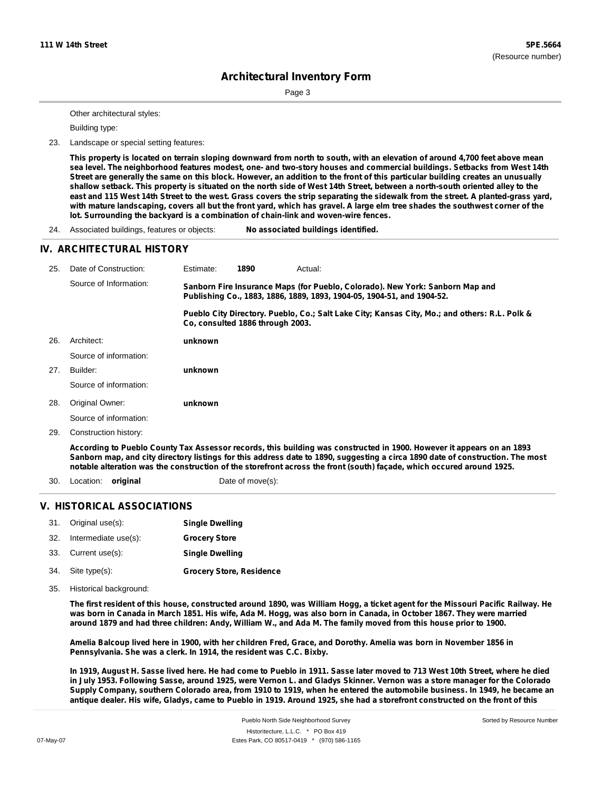Page 3

Other architectural styles:

Building type:

23. Landscape or special setting features:

This property is located on terrain sloping downward from north to south, with an elevation of around 4,700 feet above mean sea level. The neighborhood features modest, one- and two-story houses and commercial buildings. Setbacks from West 14th Street are generally the same on this block. However, an addition to the front of this particular building creates an unusually shallow setback. This property is situated on the north side of West 14th Street, between a north-south oriented alley to the east and 115 West 14th Street to the west. Grass covers the strip separating the sidewalk from the street. A planted-grass yard, with mature landscaping, covers all but the front yard, which has gravel. A large elm tree shades the southwest corner of the **lot. Surrounding the backyard is a combination of chain-link and woven-wire fences.**

24. Associated buildings, features or objects: **No associated buildings identified.**

#### **IV. ARCHITECTURAL HISTORY**

| 25. | Date of Construction:  | Estimate:                                                                                                                                               | 1890                             | Actual:                                                                                                                |  |
|-----|------------------------|---------------------------------------------------------------------------------------------------------------------------------------------------------|----------------------------------|------------------------------------------------------------------------------------------------------------------------|--|
|     | Source of Information: | Sanborn Fire Insurance Maps (for Pueblo, Colorado). New York: Sanborn Map and<br>Publishing Co., 1883, 1886, 1889, 1893, 1904-05, 1904-51, and 1904-52. |                                  |                                                                                                                        |  |
|     |                        |                                                                                                                                                         | Co. consulted 1886 through 2003. | Pueblo City Directory. Pueblo, Co.; Salt Lake City; Kansas City, Mo.; and others: R.L. Polk &                          |  |
| 26. | Architect:             | unknown                                                                                                                                                 |                                  |                                                                                                                        |  |
|     | Source of information: |                                                                                                                                                         |                                  |                                                                                                                        |  |
| 27. | Builder:               | unknown                                                                                                                                                 |                                  |                                                                                                                        |  |
|     | Source of information: |                                                                                                                                                         |                                  |                                                                                                                        |  |
| 28. | Original Owner:        | unknown                                                                                                                                                 |                                  |                                                                                                                        |  |
|     | Source of information: |                                                                                                                                                         |                                  |                                                                                                                        |  |
| 29. | Construction history:  |                                                                                                                                                         |                                  |                                                                                                                        |  |
|     |                        |                                                                                                                                                         |                                  | Associação de Dueble Osman Ten Associações escude dite buildico mas secundaminad in 4000. Hemano il eccesso en acad000 |  |

According to Pueblo County Tax Assessor records, this building was constructed in 1900. However it appears on an 1893 Sanborn map, and city directory listings for this address date to 1890, suggesting a circa 1890 date of construction. The most notable alteration was the construction of the storefront across the front (south) façade, which occured around 1925.

30. Location: **original** Date of move(s):

### **V. HISTORICAL ASSOCIATIONS**

| 31. Original use(s):     | <b>Single Dwelling</b>          |
|--------------------------|---------------------------------|
| 32. Intermediate use(s): | <b>Grocery Store</b>            |
| 33. Current use(s):      | <b>Single Dwelling</b>          |
| 34. Site type(s):        | <b>Grocery Store, Residence</b> |

35. Historical background:

The first resident of this house, constructed around 1890, was William Hogg, a ticket agent for the Missouri Pacific Railway. He was born in Canada in March 1851. His wife, Ada M. Hogg, was also born in Canada, in October 1867. They were married around 1879 and had three children: Andy, William W., and Ada M. The family moved from this house prior to 1900.

Amelia Balcoup lived here in 1900, with her children Fred, Grace, and Dorothy. Amelia was born in November 1856 in **Pennsylvania. She was a clerk. In 1914, the resident was C.C. Bixby.**

In 1919, August H. Sasse lived here. He had come to Pueblo in 1911. Sasse later moved to 713 West 10th Street, where he died in July 1953. Following Sasse, around 1925, were Vernon L. and Gladys Skinner. Vernon was a store manager for the Colorado Supply Company, southern Colorado area, from 1910 to 1919, when he entered the automobile business. In 1949, he became an antique dealer. His wife, Gladys, came to Pueblo in 1919. Around 1925, she had a storefront constructed on the front of this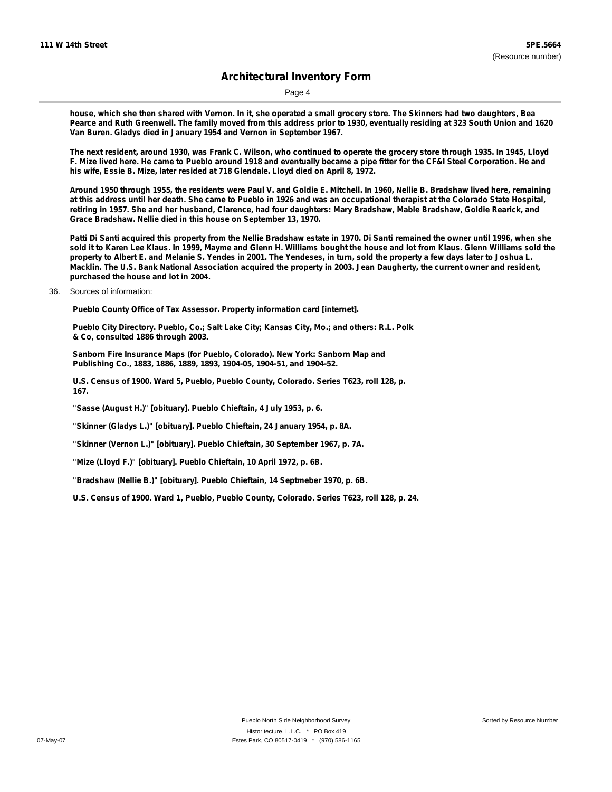Page 4

house, which she then shared with Vernon. In it, she operated a small grocery store. The Skinners had two daughters, Bea Pearce and Ruth Greenwell. The family moved from this address prior to 1930, eventually residing at 323 South Union and 1620 **Van Buren. Gladys died in January 1954 and Vernon in September 1967.**

The next resident, around 1930, was Frank C. Wilson, who continued to operate the grocery store through 1935. In 1945, Lloyd F. Mize lived here. He came to Pueblo around 1918 and eventually became a pipe fitter for the CF&I Steel Corporation. He and **his wife, Essie B. Mize, later resided at 718 Glendale. Lloyd died on April 8, 1972.**

Around 1950 through 1955, the residents were Paul V. and Goldie E. Mitchell. In 1960, Nellie B. Bradshaw lived here, remaining at this address until her death. She came to Pueblo in 1926 and was an occupational therapist at the Colorado State Hospital, retiring in 1957. She and her husband, Clarence, had four daughters: Mary Bradshaw, Mable Bradshaw, Goldie Rearick, and **Grace Bradshaw. Nellie died in this house on September 13, 1970.**

Patti Di Santi acquired this property from the Nellie Bradshaw estate in 1970. Di Santi remained the owner until 1996, when she sold it to Karen Lee Klaus. In 1999, Mayme and Glenn H. Williams bought the house and lot from Klaus. Glenn Williams sold the property to Albert E. and Melanie S. Yendes in 2001. The Yendeses, in turn, sold the property a few days later to Joshua L. Macklin. The U.S. Bank National Association acquired the property in 2003. Jean Daugherty, the current owner and resident, **purchased the house and lot in 2004.**

36. Sources of information:

**Pueblo County Office of Tax Assessor. Property information card [internet].**

**Pueblo City Directory. Pueblo, Co.; Salt Lake City; Kansas City, Mo.; and others: R.L. Polk & Co, consulted 1886 through 2003.**

**Sanborn Fire Insurance Maps (for Pueblo, Colorado). New York: Sanborn Map and Publishing Co., 1883, 1886, 1889, 1893, 1904-05, 1904-51, and 1904-52.**

**U.S. Census of 1900. Ward 5, Pueblo, Pueblo County, Colorado. Series T623, roll 128, p. 167.**

**"Sasse (August H.)" [obituary]. Pueblo Chieftain, 4 July 1953, p. 6.**

**"Skinner (Gladys L.)" [obituary]. Pueblo Chieftain, 24 January 1954, p. 8A.**

**"Skinner (Vernon L.)" [obituary]. Pueblo Chieftain, 30 September 1967, p. 7A.**

**"Mize (Lloyd F.)" [obituary]. Pueblo Chieftain, 10 April 1972, p. 6B.**

**"Bradshaw (Nellie B.)" [obituary]. Pueblo Chieftain, 14 Septmeber 1970, p. 6B.**

**U.S. Census of 1900. Ward 1, Pueblo, Pueblo County, Colorado. Series T623, roll 128, p. 24.**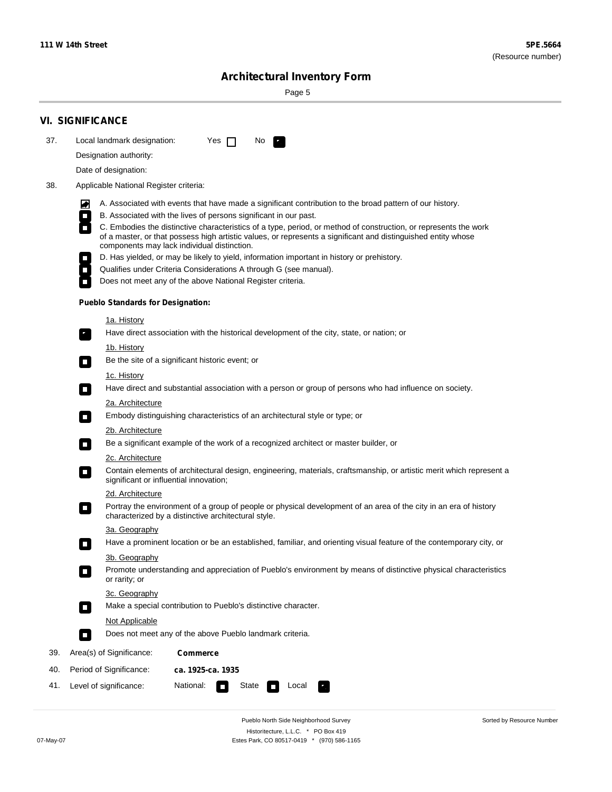۰

Sorted by Resource Number

# **Architectural Inventory Form**

Page 5

|     | <b>VI. SIGNIFICANCE</b>                                                                                                                                                                                                                                                                                      |  |  |  |  |  |  |  |
|-----|--------------------------------------------------------------------------------------------------------------------------------------------------------------------------------------------------------------------------------------------------------------------------------------------------------------|--|--|--|--|--|--|--|
| 37. | Local landmark designation:<br>Yes $\Box$<br>No.<br>$\mathbf{r}_1$                                                                                                                                                                                                                                           |  |  |  |  |  |  |  |
|     | Designation authority:                                                                                                                                                                                                                                                                                       |  |  |  |  |  |  |  |
|     | Date of designation:                                                                                                                                                                                                                                                                                         |  |  |  |  |  |  |  |
| 38. | Applicable National Register criteria:                                                                                                                                                                                                                                                                       |  |  |  |  |  |  |  |
|     | A. Associated with events that have made a significant contribution to the broad pattern of our history.<br>M                                                                                                                                                                                                |  |  |  |  |  |  |  |
|     | B. Associated with the lives of persons significant in our past.<br>$\Box$                                                                                                                                                                                                                                   |  |  |  |  |  |  |  |
|     | C. Embodies the distinctive characteristics of a type, period, or method of construction, or represents the work<br>$\overline{\phantom{a}}$<br>of a master, or that possess high artistic values, or represents a significant and distinguished entity whose<br>components may lack individual distinction. |  |  |  |  |  |  |  |
|     | D. Has yielded, or may be likely to yield, information important in history or prehistory.                                                                                                                                                                                                                   |  |  |  |  |  |  |  |
|     | Qualifies under Criteria Considerations A through G (see manual).<br>$\overline{\phantom{a}}$                                                                                                                                                                                                                |  |  |  |  |  |  |  |
|     | Does not meet any of the above National Register criteria.                                                                                                                                                                                                                                                   |  |  |  |  |  |  |  |
|     | <b>Pueblo Standards for Designation:</b>                                                                                                                                                                                                                                                                     |  |  |  |  |  |  |  |
|     | 1a. History                                                                                                                                                                                                                                                                                                  |  |  |  |  |  |  |  |
|     | Have direct association with the historical development of the city, state, or nation; or<br>$\overline{\phantom{a}}$ .                                                                                                                                                                                      |  |  |  |  |  |  |  |
|     | <u>1b. History</u><br>Be the site of a significant historic event; or<br>$\Box$                                                                                                                                                                                                                              |  |  |  |  |  |  |  |
|     | 1c. History                                                                                                                                                                                                                                                                                                  |  |  |  |  |  |  |  |
|     | Have direct and substantial association with a person or group of persons who had influence on society.<br>$\Box$                                                                                                                                                                                            |  |  |  |  |  |  |  |
|     | 2a. Architecture                                                                                                                                                                                                                                                                                             |  |  |  |  |  |  |  |
|     | Embody distinguishing characteristics of an architectural style or type; or<br>$\Box$                                                                                                                                                                                                                        |  |  |  |  |  |  |  |
|     | 2b. Architecture                                                                                                                                                                                                                                                                                             |  |  |  |  |  |  |  |
|     | Be a significant example of the work of a recognized architect or master builder, or<br>$\overline{\phantom{a}}$                                                                                                                                                                                             |  |  |  |  |  |  |  |
|     | 2c. Architecture                                                                                                                                                                                                                                                                                             |  |  |  |  |  |  |  |
|     | Contain elements of architectural design, engineering, materials, craftsmanship, or artistic merit which represent a<br>$\Box$<br>significant or influential innovation;                                                                                                                                     |  |  |  |  |  |  |  |
|     | 2d. Architecture                                                                                                                                                                                                                                                                                             |  |  |  |  |  |  |  |
|     | Portray the environment of a group of people or physical development of an area of the city in an era of history<br>$\overline{\phantom{a}}$<br>characterized by a distinctive architectural style.                                                                                                          |  |  |  |  |  |  |  |
|     | 3a. Geography                                                                                                                                                                                                                                                                                                |  |  |  |  |  |  |  |
|     | Have a prominent location or be an established, familiar, and orienting visual feature of the contemporary city, or                                                                                                                                                                                          |  |  |  |  |  |  |  |
|     | 3b. Geography                                                                                                                                                                                                                                                                                                |  |  |  |  |  |  |  |
|     | Promote understanding and appreciation of Pueblo's environment by means of distinctive physical characteristics<br>or rarity; or                                                                                                                                                                             |  |  |  |  |  |  |  |
|     | 3c. Geography                                                                                                                                                                                                                                                                                                |  |  |  |  |  |  |  |
|     | Make a special contribution to Pueblo's distinctive character.<br>$\Box$                                                                                                                                                                                                                                     |  |  |  |  |  |  |  |
|     | Not Applicable                                                                                                                                                                                                                                                                                               |  |  |  |  |  |  |  |
|     | Does not meet any of the above Pueblo landmark criteria.<br>$\Box$                                                                                                                                                                                                                                           |  |  |  |  |  |  |  |
| 39. | Area(s) of Significance:<br><b>Commerce</b>                                                                                                                                                                                                                                                                  |  |  |  |  |  |  |  |
| 40. | Period of Significance:<br>ca. 1925-ca. 1935                                                                                                                                                                                                                                                                 |  |  |  |  |  |  |  |
| 41. | National:<br>State<br>Level of significance:<br>Local                                                                                                                                                                                                                                                        |  |  |  |  |  |  |  |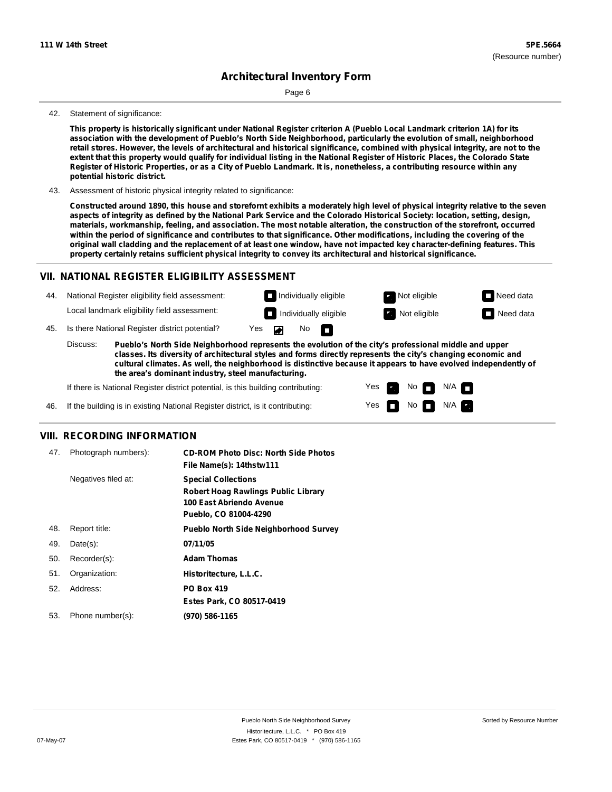Page 6

#### 42. Statement of significance:

This property is historically significant under National Register criterion A (Pueblo Local Landmark criterion 1A) for its **association with the development of Pueblo's North Side Neighborhood, particularly the evolution of small, neighborhood** retail stores. However, the levels of architectural and historical significance, combined with physical integrity, are not to the extent that this property would qualify for individual listing in the National Register of Historic Places, the Colorado State Register of Historic Properties, or as a City of Pueblo Landmark. It is, nonetheless, a contributing resource within any **potential historic district.**

43. Assessment of historic physical integrity related to significance:

Constructed around 1890, this house and storefornt exhibits a moderately high level of physical integrity relative to the seven aspects of integrity as defined by the National Park Service and the Colorado Historical Society: location, setting, design, materials, workmanship, feeling, and association. The most notable alteration, the construction of the storefront, occurred within the period of significance and contributes to that significance. Other modifications, including the covering of the original wall cladding and the replacement of at least one window, have not impacted key character-defining features. This **property certainly retains sufficient physical integrity to convey its architectural and historical significance.**

#### **VII. NATIONAL REGISTER ELIGIBILITY ASSESSMENT**

44. National Register eligibility field assessment: Local landmark eligibility field assessment:

**Individually eligible Not eligible Not eligible Need data** 

No<sub>D</sub>

**Individually eligible Not eligible** Not eligible **Need data** 

45. Is there National Register district potential? Yes

**Pueblo's North Side Neighborhood represents the evolution of the city's professional middle and upper classes. Its diversity of architectural styles and forms directly represents the city's changing economic and cultural climates. As well, the neighborhood is distinctive because it appears to have evolved independently of the area's dominant industry, steel manufacturing.** Discuss:

 $\blacksquare$ 

Yes Yes No

 $No$   $N/A$ 

N/A

If there is National Register district potential, is this building contributing:



#### **VIII. RECORDING INFORMATION**

| 47. | Photograph numbers): | <b>CD-ROM Photo Disc: North Side Photos</b><br>File Name(s): 14thstw111                                                       |
|-----|----------------------|-------------------------------------------------------------------------------------------------------------------------------|
|     | Negatives filed at:  | <b>Special Collections</b><br><b>Robert Hoag Rawlings Public Library</b><br>100 East Abriendo Avenue<br>Pueblo, CO 81004-4290 |
| 48. | Report title:        | <b>Pueblo North Side Neighborhood Survey</b>                                                                                  |
| 49. | $Date(s)$ :          | 07/11/05                                                                                                                      |
| 50. | Recorder(s):         | <b>Adam Thomas</b>                                                                                                            |
| 51. | Organization:        | Historitecture, L.L.C.                                                                                                        |
| 52. | Address:             | <b>PO Box 419</b>                                                                                                             |
|     |                      | Estes Park, CO 80517-0419                                                                                                     |
| 53. | Phone number(s):     | (970) 586-1165                                                                                                                |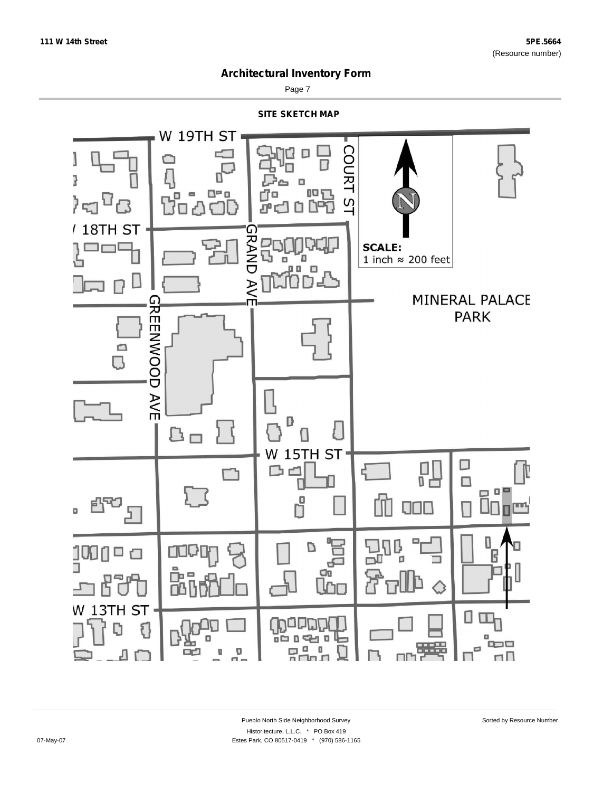

Page 7